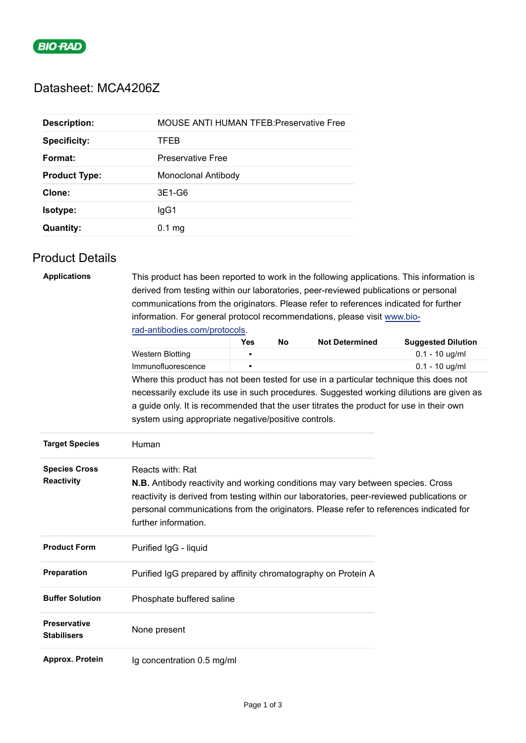

# Datasheet: MCA4206Z

| <b>Description:</b>  | <b>MOUSE ANTI HUMAN TFEB: Preservative Free</b> |
|----------------------|-------------------------------------------------|
| <b>Specificity:</b>  | TFEB                                            |
| Format:              | <b>Preservative Free</b>                        |
| <b>Product Type:</b> | Monoclonal Antibody                             |
| Clone:               | 3E1-G6                                          |
| <b>Isotype:</b>      | lgG1                                            |
| <b>Quantity:</b>     | $0.1$ mg                                        |

### Product Details

| <b>Applications</b>                       | This product has been reported to work in the following applications. This information is<br>derived from testing within our laboratories, peer-reviewed publications or personal                                                                                                                                         |     |    |                       |                           |  |
|-------------------------------------------|---------------------------------------------------------------------------------------------------------------------------------------------------------------------------------------------------------------------------------------------------------------------------------------------------------------------------|-----|----|-----------------------|---------------------------|--|
|                                           |                                                                                                                                                                                                                                                                                                                           |     |    |                       |                           |  |
|                                           | communications from the originators. Please refer to references indicated for further                                                                                                                                                                                                                                     |     |    |                       |                           |  |
|                                           | information. For general protocol recommendations, please visit www.bio-                                                                                                                                                                                                                                                  |     |    |                       |                           |  |
|                                           | rad-antibodies.com/protocols.                                                                                                                                                                                                                                                                                             |     |    |                       |                           |  |
|                                           |                                                                                                                                                                                                                                                                                                                           | Yes | No | <b>Not Determined</b> | <b>Suggested Dilution</b> |  |
|                                           | <b>Western Blotting</b>                                                                                                                                                                                                                                                                                                   | n   |    |                       | $0.1 - 10$ ug/ml          |  |
|                                           | Immunofluorescence                                                                                                                                                                                                                                                                                                        |     |    |                       | $0.1 - 10$ ug/ml          |  |
|                                           | Where this product has not been tested for use in a particular technique this does not                                                                                                                                                                                                                                    |     |    |                       |                           |  |
|                                           | necessarily exclude its use in such procedures. Suggested working dilutions are given as                                                                                                                                                                                                                                  |     |    |                       |                           |  |
|                                           | a guide only. It is recommended that the user titrates the product for use in their own<br>system using appropriate negative/positive controls.                                                                                                                                                                           |     |    |                       |                           |  |
| <b>Target Species</b>                     | Human                                                                                                                                                                                                                                                                                                                     |     |    |                       |                           |  |
| <b>Species Cross</b><br><b>Reactivity</b> | Reacts with: Rat<br><b>N.B.</b> Antibody reactivity and working conditions may vary between species. Cross<br>reactivity is derived from testing within our laboratories, peer-reviewed publications or<br>personal communications from the originators. Please refer to references indicated for<br>further information. |     |    |                       |                           |  |
| <b>Product Form</b>                       | Purified IgG - liquid                                                                                                                                                                                                                                                                                                     |     |    |                       |                           |  |
| Preparation                               | Purified IgG prepared by affinity chromatography on Protein A                                                                                                                                                                                                                                                             |     |    |                       |                           |  |
| <b>Buffer Solution</b>                    | Phosphate buffered saline                                                                                                                                                                                                                                                                                                 |     |    |                       |                           |  |
| <b>Preservative</b><br><b>Stabilisers</b> | None present                                                                                                                                                                                                                                                                                                              |     |    |                       |                           |  |
| Approx. Protein                           | Ig concentration 0.5 mg/ml                                                                                                                                                                                                                                                                                                |     |    |                       |                           |  |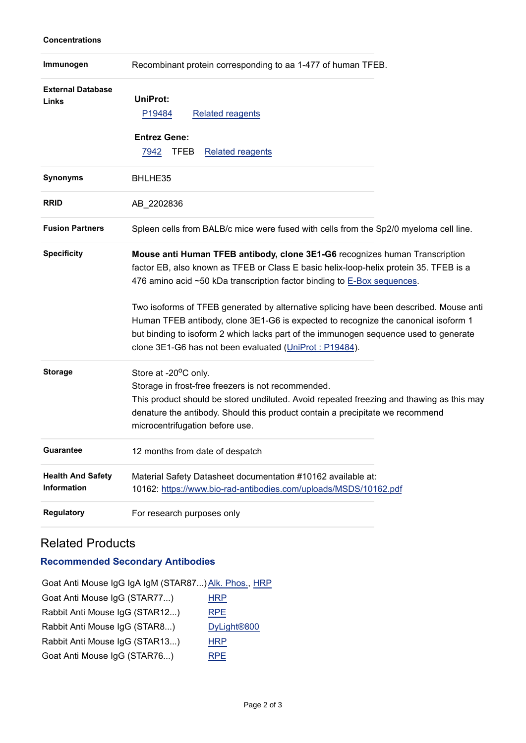### **Concentrations**

| Immunogen                               | Recombinant protein corresponding to aa 1-477 of human TFEB.                                                                                                                                                                                                                                                                                                                                                                                                                                                                                                                      |  |
|-----------------------------------------|-----------------------------------------------------------------------------------------------------------------------------------------------------------------------------------------------------------------------------------------------------------------------------------------------------------------------------------------------------------------------------------------------------------------------------------------------------------------------------------------------------------------------------------------------------------------------------------|--|
| <b>External Database</b><br>Links       | <b>UniProt:</b><br><b>Related reagents</b><br>P19484<br><b>Entrez Gene:</b><br><b>TFEB</b><br><b>Related reagents</b><br>7942                                                                                                                                                                                                                                                                                                                                                                                                                                                     |  |
| <b>Synonyms</b>                         | BHLHE35                                                                                                                                                                                                                                                                                                                                                                                                                                                                                                                                                                           |  |
| <b>RRID</b>                             | AB_2202836                                                                                                                                                                                                                                                                                                                                                                                                                                                                                                                                                                        |  |
| <b>Fusion Partners</b>                  | Spleen cells from BALB/c mice were fused with cells from the Sp2/0 myeloma cell line.                                                                                                                                                                                                                                                                                                                                                                                                                                                                                             |  |
| <b>Specificity</b>                      | Mouse anti Human TFEB antibody, clone 3E1-G6 recognizes human Transcription<br>factor EB, also known as TFEB or Class E basic helix-loop-helix protein 35. TFEB is a<br>476 amino acid ~50 kDa transcription factor binding to E-Box sequences.<br>Two isoforms of TFEB generated by alternative splicing have been described. Mouse anti<br>Human TFEB antibody, clone 3E1-G6 is expected to recognize the canonical isoform 1<br>but binding to isoform 2 which lacks part of the immunogen sequence used to generate<br>clone 3E1-G6 has not been evaluated (UniProt: P19484). |  |
| <b>Storage</b>                          | Store at -20°C only.<br>Storage in frost-free freezers is not recommended.<br>This product should be stored undiluted. Avoid repeated freezing and thawing as this may<br>denature the antibody. Should this product contain a precipitate we recommend<br>microcentrifugation before use.                                                                                                                                                                                                                                                                                        |  |
| <b>Guarantee</b>                        | 12 months from date of despatch                                                                                                                                                                                                                                                                                                                                                                                                                                                                                                                                                   |  |
| <b>Health And Safety</b><br>Information | Material Safety Datasheet documentation #10162 available at:<br>10162: https://www.bio-rad-antibodies.com/uploads/MSDS/10162.pdf                                                                                                                                                                                                                                                                                                                                                                                                                                                  |  |
| <b>Regulatory</b>                       | For research purposes only                                                                                                                                                                                                                                                                                                                                                                                                                                                                                                                                                        |  |

## Related Products

## **Recommended Secondary Antibodies**

| Goat Anti Mouse IgG IgA IgM (STAR87) Alk. Phos., HRP |                         |
|------------------------------------------------------|-------------------------|
| Goat Anti Mouse IgG (STAR77)                         | <b>HRP</b>              |
| Rabbit Anti Mouse IgG (STAR12)                       | <b>RPE</b>              |
| Rabbit Anti Mouse IgG (STAR8)                        | DyLight <sup>®800</sup> |
| Rabbit Anti Mouse IgG (STAR13)                       | <b>HRP</b>              |
| Goat Anti Mouse IgG (STAR76)                         | <b>RPE</b>              |